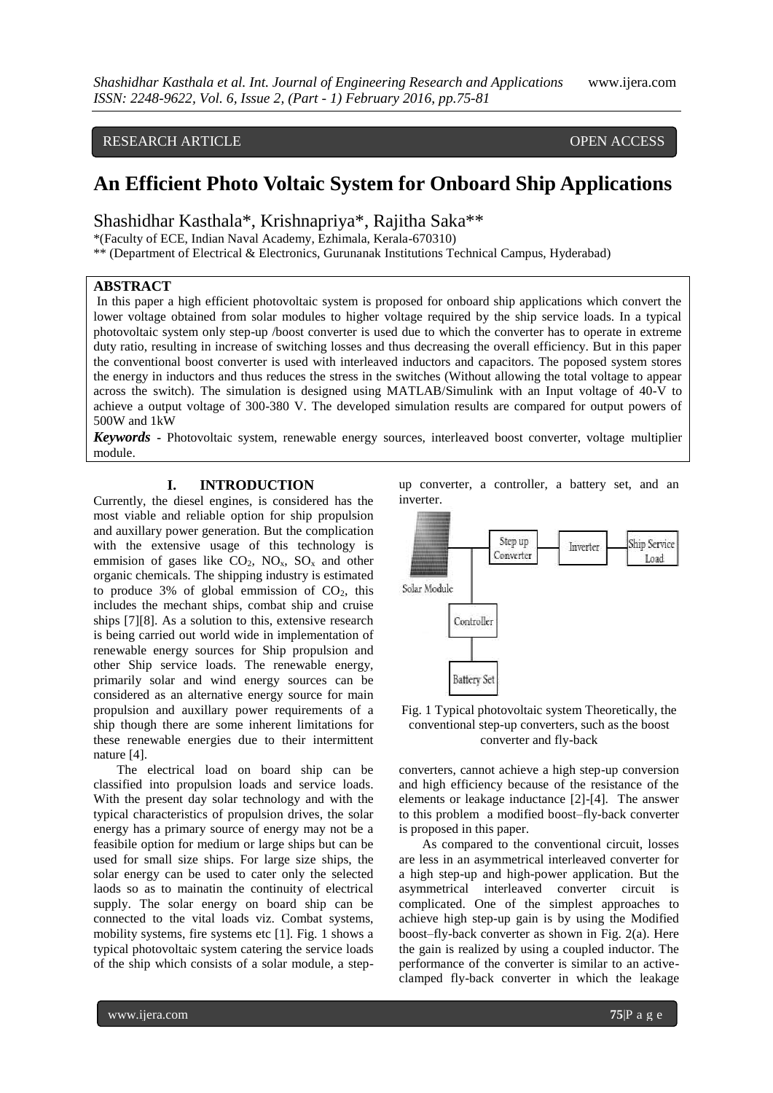## RESEARCH ARTICLE **CONSERVERS** OPEN ACCESS

# **An Efficient Photo Voltaic System for Onboard Ship Applications**

Shashidhar Kasthala\*, Krishnapriya\*, Rajitha Saka\*\*

\*(Faculty of ECE, Indian Naval Academy, Ezhimala, Kerala-670310)

\*\* (Department of Electrical & Electronics, Gurunanak Institutions Technical Campus, Hyderabad)

## **ABSTRACT**

In this paper a high efficient photovoltaic system is proposed for onboard ship applications which convert the lower voltage obtained from solar modules to higher voltage required by the ship service loads. In a typical photovoltaic system only step-up /boost converter is used due to which the converter has to operate in extreme duty ratio, resulting in increase of switching losses and thus decreasing the overall efficiency. But in this paper the conventional boost converter is used with interleaved inductors and capacitors. The poposed system stores the energy in inductors and thus reduces the stress in the switches (Without allowing the total voltage to appear across the switch). The simulation is designed using MATLAB/Simulink with an Input voltage of 40-V to achieve a output voltage of 300-380 V. The developed simulation results are compared for output powers of 500W and 1kW

*Keywords* **-** Photovoltaic system, renewable energy sources, interleaved boost converter, voltage multiplier module.

## **I. INTRODUCTION**

Currently, the diesel engines, is considered has the most viable and reliable option for ship propulsion and auxillary power generation. But the complication with the extensive usage of this technology is emmision of gases like  $CO<sub>2</sub>$ ,  $NO<sub>x</sub>$ ,  $SO<sub>x</sub>$  and other organic chemicals. The shipping industry is estimated to produce 3% of global emmission of  $CO<sub>2</sub>$ , this includes the mechant ships, combat ship and cruise ships [7][8]. As a solution to this, extensive research is being carried out world wide in implementation of renewable energy sources for Ship propulsion and other Ship service loads. The renewable energy, primarily solar and wind energy sources can be considered as an alternative energy source for main propulsion and auxillary power requirements of a ship though there are some inherent limitations for these renewable energies due to their intermittent nature [4].

The electrical load on board ship can be classified into propulsion loads and service loads. With the present day solar technology and with the typical characteristics of propulsion drives, the solar energy has a primary source of energy may not be a feasibile option for medium or large ships but can be used for small size ships. For large size ships, the solar energy can be used to cater only the selected laods so as to mainatin the continuity of electrical supply. The solar energy on board ship can be connected to the vital loads viz. Combat systems, mobility systems, fire systems etc [1]. Fig. 1 shows a typical photovoltaic system catering the service loads of the ship which consists of a solar module, a stepup converter, a controller, a battery set, and an inverter.



Fig. 1 Typical photovoltaic system Theoretically, the conventional step-up converters, such as the boost converter and fly-back

converters, cannot achieve a high step-up conversion and high efficiency because of the resistance of the elements or leakage inductance [2]-[4]. The answer to this problem a modified boost–fly-back converter is proposed in this paper.

As compared to the conventional circuit, losses are less in an asymmetrical interleaved converter for a high step-up and high-power application. But the asymmetrical interleaved converter circuit is complicated. One of the simplest approaches to achieve high step-up gain is by using the Modified boost–fly-back converter as shown in Fig. 2(a). Here the gain is realized by using a coupled inductor. The performance of the converter is similar to an activeclamped fly-back converter in which the leakage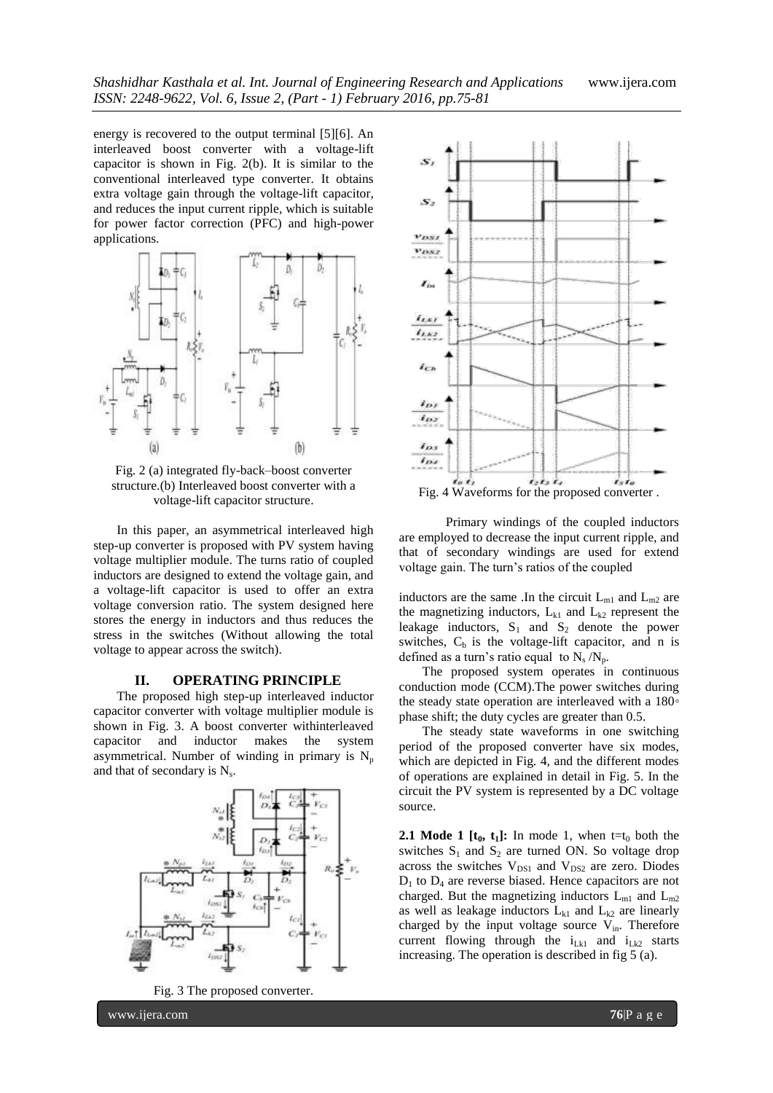energy is recovered to the output terminal [5][6]. An interleaved boost converter with a voltage-lift capacitor is shown in Fig. 2(b). It is similar to the conventional interleaved type converter. It obtains extra voltage gain through the voltage-lift capacitor, and reduces the input current ripple, which is suitable for power factor correction (PFC) and high-power applications.



Fig. 2 (a) integrated fly-back–boost converter structure.(b) Interleaved boost converter with a voltage-lift capacitor structure.

In this paper, an asymmetrical interleaved high step-up converter is proposed with PV system having voltage multiplier module. The turns ratio of coupled inductors are designed to extend the voltage gain, and a voltage-lift capacitor is used to offer an extra voltage conversion ratio. The system designed here stores the energy in inductors and thus reduces the stress in the switches (Without allowing the total voltage to appear across the switch).

#### **II. OPERATING PRINCIPLE**

The proposed high step-up interleaved inductor capacitor converter with voltage multiplier module is shown in Fig. 3. A boost converter withinterleaved capacitor and inductor makes the system asymmetrical. Number of winding in primary is  $N_p$ and that of secondary is  $N_s$ .



Fig. 3 The proposed converter.



Primary windings of the coupled inductors are employed to decrease the input current ripple, and that of secondary windings are used for extend voltage gain. The turn's ratios of the coupled

inductors are the same. In the circuit  $L_{m1}$  and  $L_{m2}$  are the magnetizing inductors,  $L_{k1}$  and  $L_{k2}$  represent the leakage inductors,  $S_1$  and  $S_2$  denote the power switches,  $C_b$  is the voltage-lift capacitor, and n is defined as a turn's ratio equal to  $N_s/N_p$ .

The proposed system operates in continuous conduction mode (CCM).The power switches during the steady state operation are interleaved with a 180*◦* phase shift; the duty cycles are greater than 0.5.

The steady state waveforms in one switching period of the proposed converter have six modes, which are depicted in Fig. 4, and the different modes of operations are explained in detail in Fig. 5. In the circuit the PV system is represented by a DC voltage source.

**2.1 Mode 1 [t<sub>0</sub>, t<sub>1</sub>]:** In mode 1, when t=t<sub>0</sub> both the switches  $S_1$  and  $S_2$  are turned ON. So voltage drop across the switches  $V_{DS1}$  and  $V_{DS2}$  are zero. Diodes  $D_1$  to  $D_4$  are reverse biased. Hence capacitors are not charged. But the magnetizing inductors  $L_{m1}$  and  $L_{m2}$ as well as leakage inductors  $L_{k1}$  and  $L_{k2}$  are linearly charged by the input voltage source  $V_{in}$ . Therefore current flowing through the  $i_{Lk1}$  and  $i_{Lk2}$  starts increasing. The operation is described in fig 5 (a).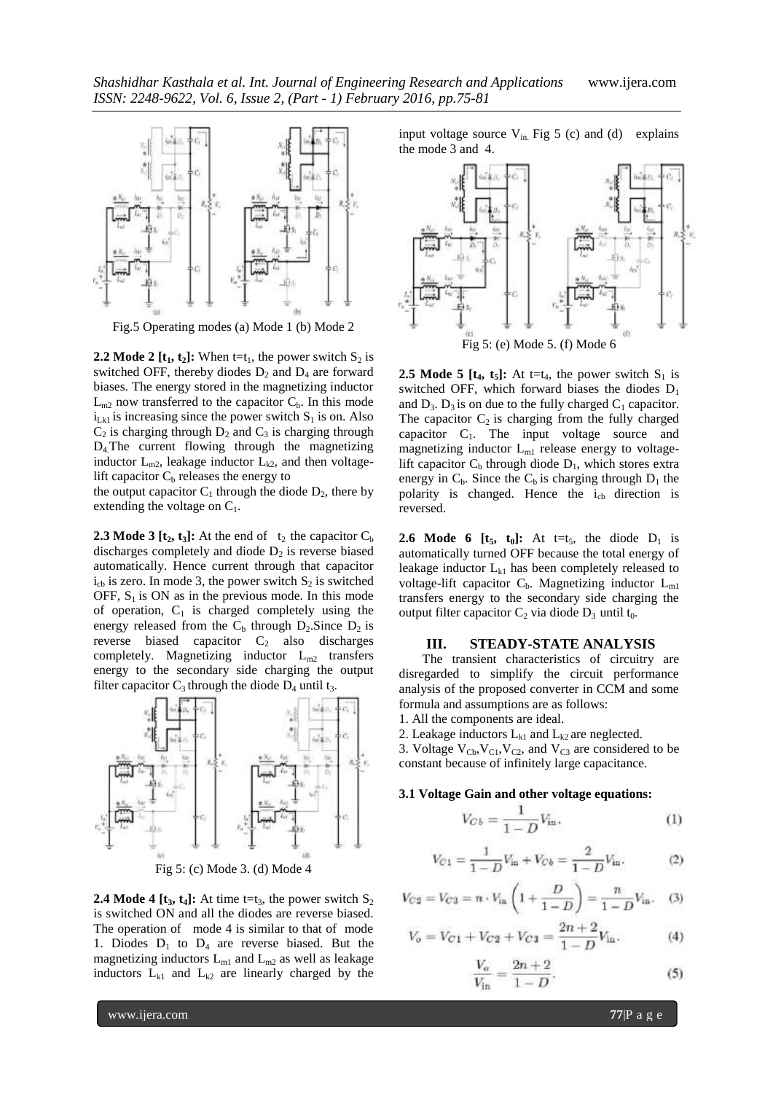

Fig.5 Operating modes (a) Mode 1 (b) Mode 2

**2.2 Mode 2 [t<sub>1</sub>, t<sub>2</sub>]:** When t=t<sub>1</sub>, the power switch  $S_2$  is switched OFF, thereby diodes  $D_2$  and  $D_4$  are forward biases. The energy stored in the magnetizing inductor  $L_{m2}$  now transferred to the capacitor  $C_b$ . In this mode  $i_{Lkl}$  is increasing since the power switch  $S_1$  is on. Also  $C_2$  is charging through  $D_2$  and  $C_3$  is charging through D4.The current flowing through the magnetizing inductor  $L_{m2}$ , leakage inductor  $L_{k2}$ , and then voltagelift capacitor  $C_b$  releases the energy to

the output capacitor  $C_1$  through the diode  $D_2$ , there by extending the voltage on  $C_1$ .

**2.3 Mode 3 [t<sub>2</sub>, t<sub>3</sub>]:** At the end of  $t_2$  the capacitor  $C_b$ discharges completely and diode  $D_2$  is reverse biased automatically. Hence current through that capacitor  $i_{cb}$  is zero. In mode 3, the power switch  $S_2$  is switched OFF,  $S_1$  is ON as in the previous mode. In this mode of operation,  $C_1$  is charged completely using the energy released from the  $C_b$  through  $D_2$ . Since  $D_2$  is reverse biased capacitor  $C_2$  also discharges completely. Magnetizing inductor  $L_{m2}$  transfers energy to the secondary side charging the output filter capacitor  $C_3$  through the diode  $D_4$  until t<sub>3</sub>.



**2.4 Mode 4 [t<sub>3</sub>, t<sub>4</sub>]:** At time t=t<sub>3</sub>, the power switch  $S_2$ is switched ON and all the diodes are reverse biased. The operation of mode 4 is similar to that of mode 1. Diodes  $D_1$  to  $D_4$  are reverse biased. But the magnetizing inductors  $L_{m1}$  and  $L_{m2}$  as well as leakage inductors  $L_{k1}$  and  $L_{k2}$  are linearly charged by the

input voltage source  $V_{in}$ . Fig 5 (c) and (d) explains the mode 3 and 4.



**2.5 Mode 5 [t<sub>4</sub>, t<sub>5</sub>]:** At t=t<sub>4</sub>, the power switch  $S_1$  is switched OFF, which forward biases the diodes  $D_1$ and  $D_3$ .  $D_3$  is on due to the fully charged  $C_1$  capacitor. The capacitor  $C_2$  is charging from the fully charged capacitor  $C_1$ . The input voltage source and magnetizing inductor  $L_{m1}$  release energy to voltagelift capacitor  $C_b$  through diode  $D_1$ , which stores extra energy in  $C_b$ . Since the  $C_b$  is charging through  $D_1$  the polarity is changed. Hence the  $i_{cb}$  direction is reversed.

**2.6 Mode 6 [t<sub>5</sub>, t<sub>0</sub>]:** At t=t<sub>5</sub>, the diode  $D_1$  is automatically turned OFF because the total energy of leakage inductor  $L_{k1}$  has been completely released to voltage-lift capacitor  $C_b$ . Magnetizing inductor  $L_{m1}$ transfers energy to the secondary side charging the output filter capacitor  $C_2$  via diode  $D_3$  until t<sub>0</sub>.

#### **III. STEADY-STATE ANALYSIS**

The transient characteristics of circuitry are disregarded to simplify the circuit performance analysis of the proposed converter in CCM and some formula and assumptions are as follows:

- 1. All the components are ideal.
- 2. Leakage inductors  $L_{k1}$  and  $L_{k2}$  are neglected.

3. Voltage  $V_{\text{Cb}}$ ,  $V_{\text{C1}}$ ,  $V_{\text{C2}}$ , and  $V_{\text{C3}}$  are considered to be constant because of infinitely large capacitance.

#### **3.1 Voltage Gain and other voltage equations:**

$$
V_{Cb} = \frac{1}{1 - D} V_{\text{in}}.\tag{1}
$$

$$
V_{C1} = \frac{1}{1 - D} V_{\text{in}} + V_{Cb} = \frac{2}{1 - D} V_{\text{in}}.
$$
 (2)

$$
V_{C2} = V_{C3} = n \cdot V_{in} \left( 1 + \frac{D}{1 - D} \right) = \frac{n}{1 - D} V_{in}. \quad (3)
$$

$$
V_o = V_{C1} + V_{C2} + V_{C3} = \frac{2n+2}{1-D}V_{\text{in}}.
$$
 (4)

$$
\frac{V_o}{V_{\text{in}}} = \frac{2n+2}{1-D}.\tag{5}
$$

www.ijera.com **77**|P a g e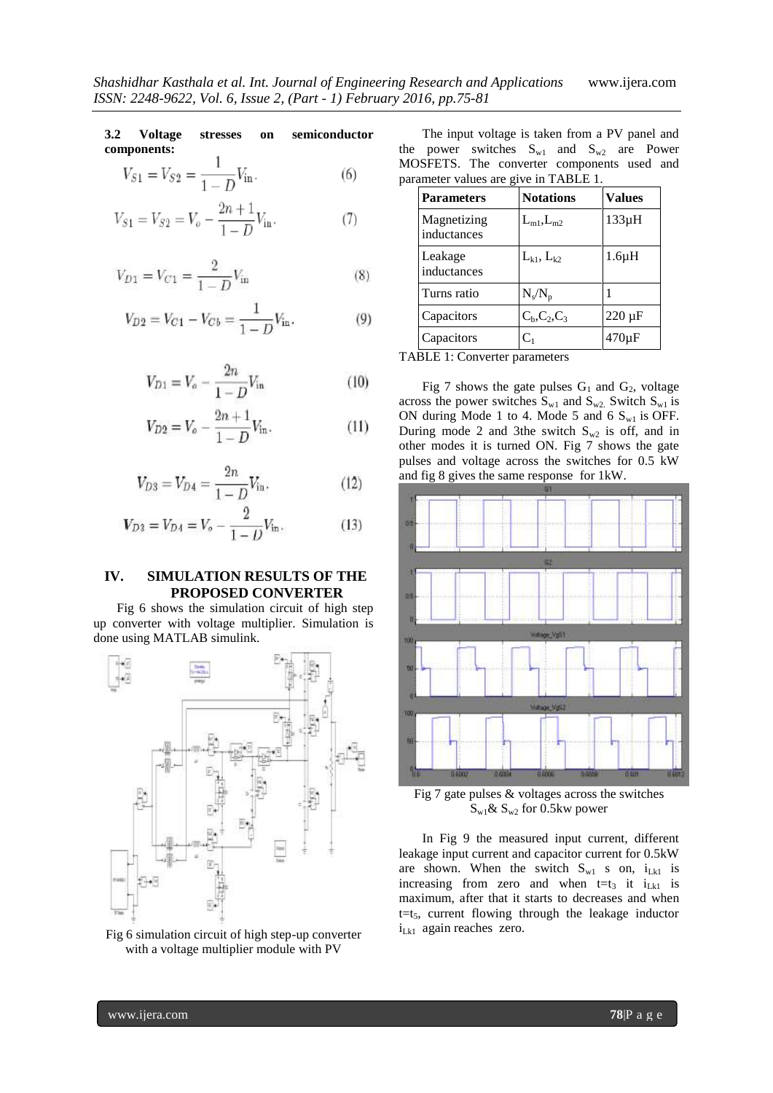**3.2 Voltage stresses on semiconductor components:** 1

$$
V_{S1} = V_{S2} = \frac{1}{1 - D} V_{\text{in}}.
$$
 (6)

$$
V_{S1} = V_{S2} = V_o - \frac{2n+1}{1-D} V_{in}.
$$
 (7)

$$
V_{D1} = V_{C1} = \frac{2}{1 - D} V_{\text{in}} \tag{8}
$$

$$
V_{D2} = V_{C1} - V_{Cb} = \frac{1}{1 - D} V_{in}.
$$
 (9)

$$
V_{D1} = V_o - \frac{2n}{1 - D} V_{\text{in}} \tag{10}
$$

$$
V_{D2} = V_o - \frac{2n+1}{1-D} V_{\text{in}}.
$$
 (11)

$$
V_{D3} = V_{D4} = \frac{2n}{1 - D} V_{\text{in}}.
$$
 (12)

$$
V_{D3} = V_{D4} = V_o - \frac{2}{1 - D} V_{\text{in}}.
$$
 (13)

## **IV. SIMULATION RESULTS OF THE PROPOSED CONVERTER**

Fig 6 shows the simulation circuit of high step up converter with voltage multiplier. Simulation is done using MATLAB simulink.



Fig 6 simulation circuit of high step-up converter with a voltage multiplier module with PV

The input voltage is taken from a PV panel and the power switches  $S_{w1}$  and  $S_{w2}$  are Power MOSFETS. The converter components used and parameter values are give in TABLE 1.

| <b>Parameters</b>          | <b>Notations</b>            | Values      |
|----------------------------|-----------------------------|-------------|
| Magnetizing<br>inductances | $L_{m1}, L_{m2}$            | $133\mu H$  |
| Leakage<br>inductances     | $L_{k1}$ , $L_{k2}$         | $1.6\mu H$  |
| Turns ratio                | $N_s/N_p$                   |             |
| Capacitors                 | $C_{b}$ , $C_{2}$ , $C_{3}$ | $220 \mu F$ |
| Capacitors                 | $\mathbf{C}_1$              | 470uF       |

TABLE 1: Converter parameters

Fig 7 shows the gate pulses  $G_1$  and  $G_2$ , voltage across the power switches  $S_{w1}$  and  $S_{w2}$ . Switch  $S_{w1}$  is ON during Mode 1 to 4. Mode 5 and 6  $S_{w1}$  is OFF. During mode 2 and 3the switch  $S_{w2}$  is off, and in other modes it is turned ON. Fig 7 shows the gate pulses and voltage across the switches for 0.5 kW and fig 8 gives the same response for 1kW.



Fig 7 gate pulses & voltages across the switches  $S_{w1}$ &  $S_{w2}$  for 0.5kw power

In Fig 9 the measured input current, different leakage input current and capacitor current for 0.5kW are shown. When the switch  $S_{w1}$  s on,  $i_{Lkl}$  is increasing from zero and when  $t=t_3$  it  $i_{Lk1}$  is maximum, after that it starts to decreases and when  $t=t<sub>5</sub>$ , current flowing through the leakage inductor  $i_{Lk1}$  again reaches zero.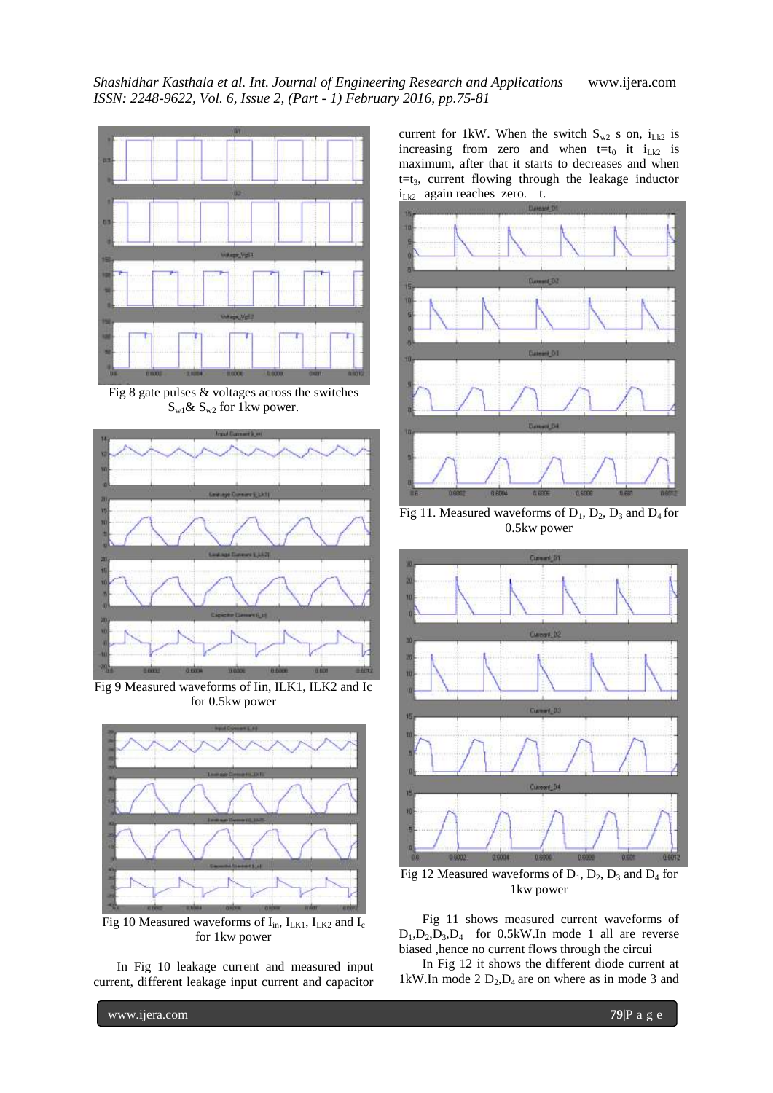

Fig 8 gate pulses  $\&$  voltages across the switches  $S_{w1}$ &  $S_{w2}$  for 1kw power.



Fig 9 Measured waveforms of Iin, ILK1, ILK2 and Ic for 0.5kw power



Fig 10 Measured waveforms of  $I_{in}$ ,  $I_{LK1}$ ,  $I_{LK2}$  and  $I_c$ for 1kw power

In Fig 10 leakage current and measured input current, different leakage input current and capacitor current for 1kW. When the switch  $S_{w2}$  s on,  $i_{Lk2}$  is increasing from zero and when  $t=t_0$  it  $i_{Lk2}$  is maximum, after that it starts to decreases and when  $t=t<sub>3</sub>$ , current flowing through the leakage inductor  $i_{Lk2}$  again reaches zero. t.



Fig 11. Measured waveforms of  $D_1$ ,  $D_2$ ,  $D_3$  and  $D_4$  for 0.5kw power



Fig 12 Measured waveforms of  $D_1$ ,  $D_2$ ,  $D_3$  and  $D_4$  for 1kw power

Fig 11 shows measured current waveforms of  $D_1, D_2, D_3, D_4$  for 0.5kW. In mode 1 all are reverse biased ,hence no current flows through the circui

In Fig 12 it shows the different diode current at 1kW.In mode 2  $D_2$ , $D_4$  are on where as in mode 3 and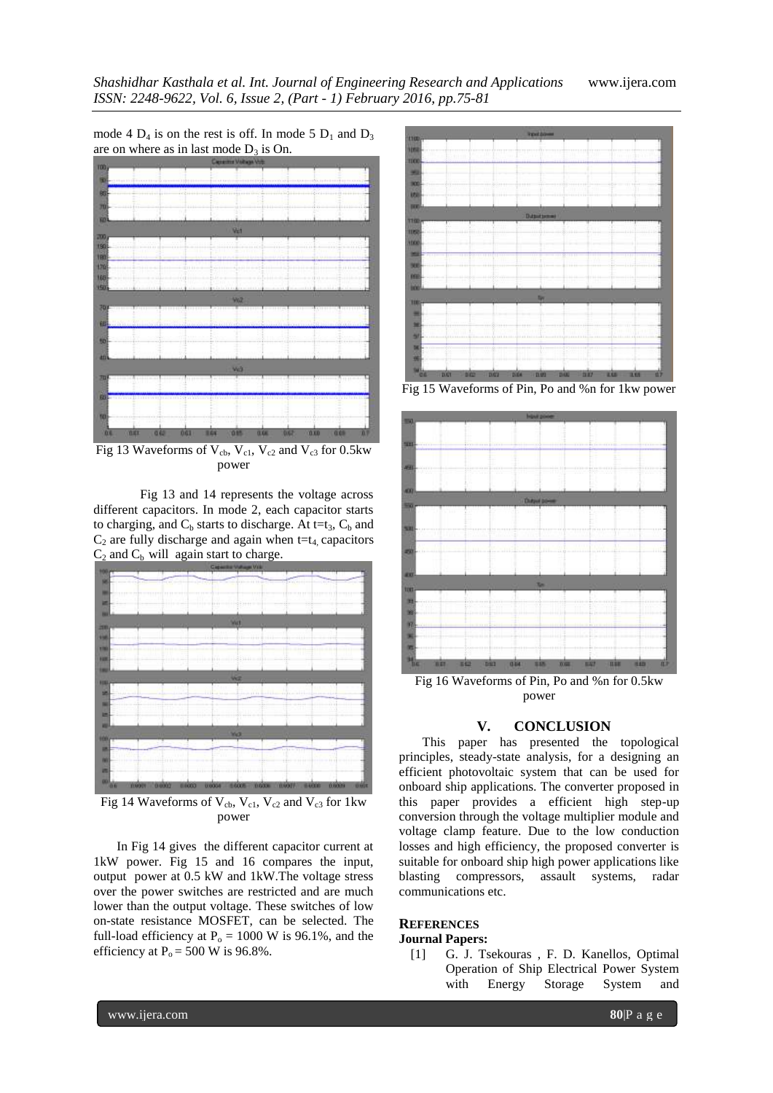mode 4  $D_4$  is on the rest is off. In mode 5  $D_1$  and  $D_3$ are on where as in last mode  $D_3$  is On.



Fig 13 Waveforms of  $V_{cb}$ ,  $V_{c1}$ ,  $V_{c2}$  and  $V_{c3}$  for 0.5kw power

Fig 13 and 14 represents the voltage across different capacitors. In mode 2, each capacitor starts to charging, and  $C_b$  starts to discharge. At t=t<sub>3</sub>,  $C_b$  and  $C_2$  are fully discharge and again when t=t<sub>4</sub> capacitors  $C_2$  and  $C_b$  will again start to charge.



Fig 14 Waveforms of  $V_{cb}$ ,  $V_{c1}$ ,  $V_{c2}$  and  $V_{c3}$  for 1kw power

In Fig 14 gives the different capacitor current at 1kW power. Fig 15 and 16 compares the input, output power at 0.5 kW and 1kW.The voltage stress over the power switches are restricted and are much lower than the output voltage. These switches of low on-state resistance MOSFET, can be selected. The full-load efficiency at  $P_0 = 1000$  W is 96.1%, and the efficiency at  $P_0 = 500$  W is 96.8%.



Fig 15 Waveforms of Pin, Po and %n for 1kw power



Fig 16 Waveforms of Pin, Po and %n for 0.5kw power

### **V. CONCLUSION**

This paper has presented the topological principles, steady-state analysis, for a designing an efficient photovoltaic system that can be used for onboard ship applications. The converter proposed in this paper provides a efficient high step-up conversion through the voltage multiplier module and voltage clamp feature. Due to the low conduction losses and high efficiency, the proposed converter is suitable for onboard ship high power applications like blasting compressors, assault systems, radar communications etc.

## **REFERENCES**

## **Journal Papers:**

[1] G. J. Tsekouras , F. D. Kanellos, Optimal Operation of Ship Electrical Power System with Energy Storage System and